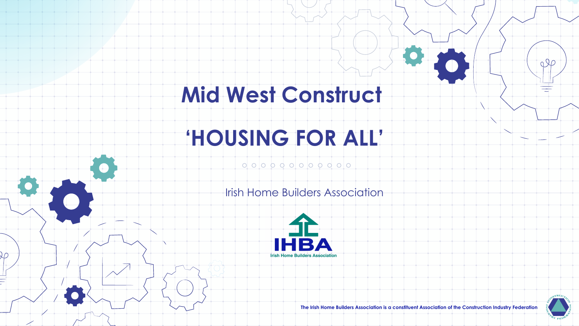# **Mid West Construct**

# **'HOUSING FOR ALL'**

) ∩

### 

**Irish Home Builders Association** 



 $000$ 

**The Irish Home Builders Association is a constituent Association of the Construction Industry Federation**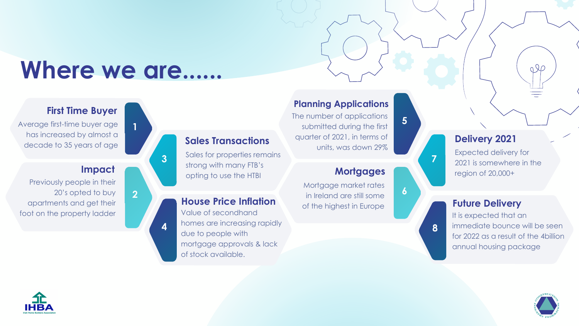# Where we are......

**1**

**3**

**4**

**2**

## **First Time Buyer**

Average first-time buyer age has increased by almost a decade to 35 years of age

### **Impact**

Previously people in their 20's opted to buy apartments and get their foot on the property ladder

## **Sales Transactions**

Sales for properties remains strong with many FTB's opting to use the HTBI

### **House Price Inflation**

Value of secondhand homes are increasing rapidly due to people with mortgage approvals & lack of stock available.

### **Planning Applications**

The number of applications submitted during the first quarter of 2021, in terms of units, was down 29%

### **Mortgages**

**5**

**6**

**7**

**8**

Mortgage market rates in Ireland are still some of the highest in Europe

## **Delivery 2021**

Expected delivery for 2021 is somewhere in the region of 20,000+

### **Future Delivery**

It is expected that an immediate bounce will be seen for 2022 as a result of the 4billion annual housing package



 $QQ$ 

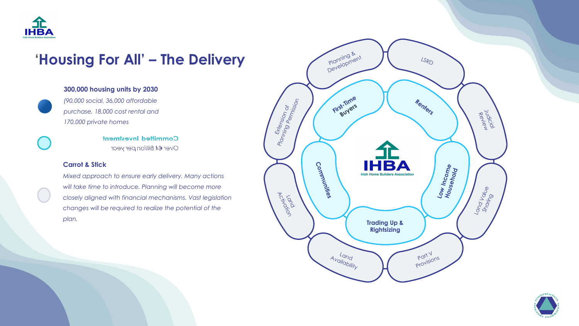

## **'Housing For All' – The Delivery**

### **300,000 housing units by 2030**



*(90,000 social, 36,000 affordable purchase, 18,000 cost rental and 170,000 private homes* 

> **Committed Investment** Over €4 Billion per year

### **Carrot & Stick**

*Mixed approach to ensure early delivery. Many actions will take time to introduce. Planning will become more closely aligned with financial mechanisms. Vast legislation changes will be required to realize the potential of the plan.*



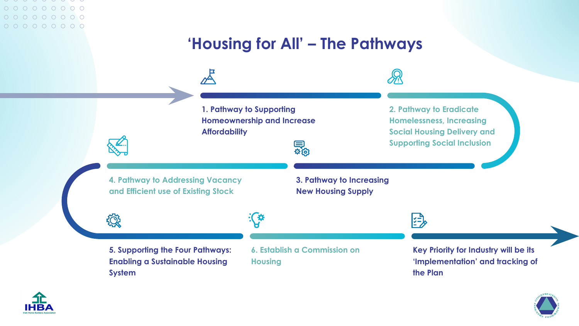### $\cup$   $\cup$   $\cup$  $0 0 0 0 0 0 0 0 0 0$  $0 0 0 0 0 0 0 0 0 0$  $0 0 0 0 0 0 0 0 0 0$

## **'Housing for All' – The Pathways**





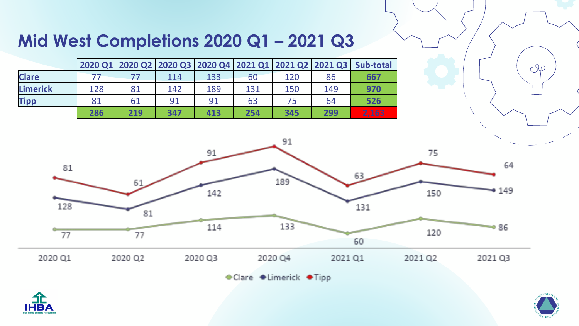## **Mid West Completions 2020 Q1 – 2021 Q3**

|              |     |     |     |     |     |     |     | 2020 Q1 2020 Q2 2020 Q3 2020 Q4 2021 Q1 2021 Q2 2021 Q3 Sub-total |
|--------------|-----|-----|-----|-----|-----|-----|-----|-------------------------------------------------------------------|
| <b>Clare</b> |     |     | 114 | 133 | 60  | 120 | 86  | 667                                                               |
| Limerick     | 128 | 81  | 142 | 189 | 131 | 150 | 149 | 970                                                               |
| <b>Tipp</b>  | 81  | 61  | 91  | 91  | 63  | 75  | 64  | 526                                                               |
|              | 286 | 219 | 347 | 413 | 254 | 345 | 299 | 2,163                                                             |



◆Clare ◆Limerick ◆Tipp





 $QQ$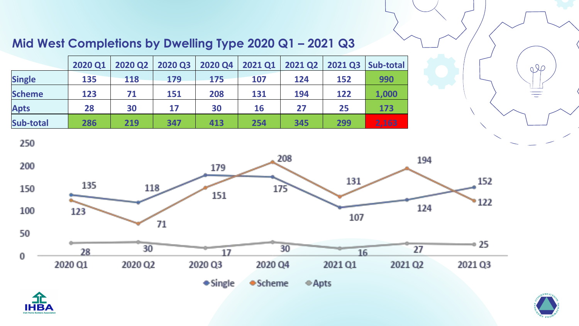## **Mid West Completions by Dwelling Type 2020 Q1 – 2021 Q3**

|               | 2020 Q1 | 2020 Q2 | 2020 Q3 | 2020 Q4 | <b>2021 Q1</b> | <b>2021 Q2</b> | <b>2021 Q3</b> | Sub-total |
|---------------|---------|---------|---------|---------|----------------|----------------|----------------|-----------|
| <b>Single</b> | 135     | 118     | 179     | 175     | 107            | 124            | 152            | 990       |
| <b>Scheme</b> | 123     | 71      | 151     | 208     | 131            | 194            | 122            | 1,000     |
| <b>Apts</b>   | 28      | 30      | 17      | 30      | 16             | 27             | 25             | 173       |
| Sub-total     | 286     | 219     | 347     | 413     | 254            | 345            | 299            | 2,163     |

250







 $QQ$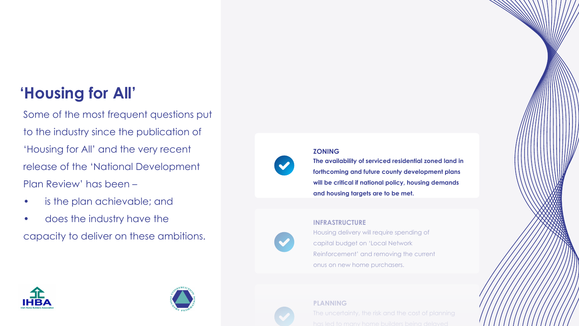## **'Housing for All'**

Some of the most frequent questions put to the industry since the publication of 'Housing for All' and the very recent release of the 'National Development Plan Review' has been –

- is the plan achievable; and
- does the industry have the

capacity to deliver on these ambitions.

### **ZONING**

**The availability of serviced residential zoned land in forthcoming and future county development plans will be critical if national policy, housing demands and housing targets are to be met.**

### **INFRASTRUCTURE**

Housing delivery will require spending of capital budget on 'Local Network Reinforcement' and removing the current onus on new home purchasers.







The uncertainty, the risk and the cost of planning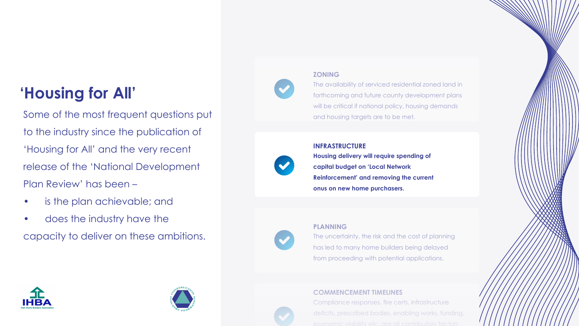## **'Housing for All'**

Some of the most frequent questions put to the industry since the publication of 'Housing for All' and the very recent release of the 'National Development Plan Review' has been –

- is the plan achievable; and
- does the industry have the

capacity to deliver on these ambitions.

### **ZONING**

The availability of serviced residential zoned land in forthcoming and future county development plans will be critical if national policy, housing demands and housing targets are to be met.

#### **INFRASTRUCTURE**



**Housing delivery will require spending of capital budget on 'Local Network Reinforcement' and removing the current onus on new home purchasers.** 

#### **PLANNING**

The uncertainty, the risk and the cost of planning has led to many home builders being delayed from proceeding with potential applications.

### **COMMENCEMENT TIMELINES**

Compliance responses, fire certs, infrastructure deficits, prescribed bodies, enabling works, funding,



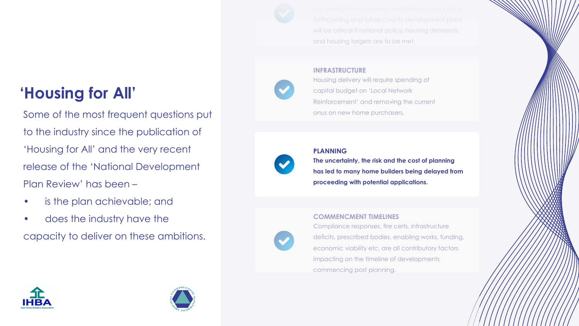will be critical if national policy, housing demands and housing targets are to be met.

### **INFRASTRUCTURE**

Housing delivery will require spending of capital budget on 'Local Network Reinforcement' and removing the current onus on new home purchasers.

#### **PLANNING**

**The uncertainty, the risk and the cost of planning has led to many home builders being delayed from proceeding with potential applications.** 

### **COMMENCMENT TIMELINES**

Compliance responses, fire certs, infrastructure deficits, prescribed bodies, enabling works, funding, economic viability etc. are all contributory factors impacting on the timeline of developments commencing post planning.

## **'Housing for All'**

Some of the most frequent questions put to the industry since the publication of 'Housing for All' and the very recent release of the 'National Development Plan Review' has been –

- is the plan achievable; and
- does the industry have the

capacity to deliver on these ambitions.







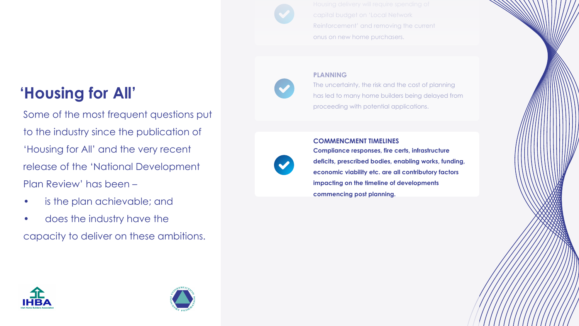**'Housing for All'**

Some of the most frequent questions put to the industry since the publication of 'Housing for All' and the very recent release of the 'National Development Plan Review' has been –

- is the plan achievable; and
- does the industry have the

capacity to deliver on these ambitions.

capital budget on 'Local Network Reinforcement' and removing the current onus on new home purchasers.

### **PLANNING**

The uncertainty, the risk and the cost of planning has led to many home builders being delayed from proceeding with potential applications.

### **COMMENCMENT TIMELINES**

**Compliance responses, fire certs, infrastructure deficits, prescribed bodies, enabling works, funding, economic viability etc. are all contributory factors impacting on the timeline of developments commencing post planning.**